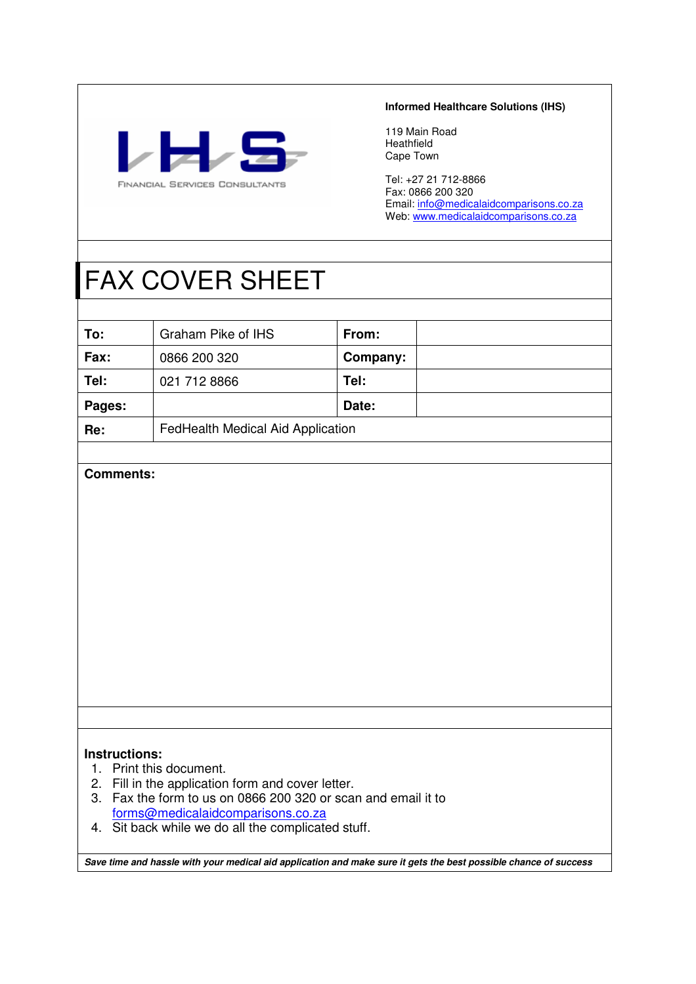

#### **Informed Healthcare Solutions (IHS)**

119 Main Road Heathfield Cape Town

Tel: +27 21 712-8866 Fax: 0866 200 320 Email: *info@medicalaidcomparisons.co.za* Web: <u>www.medicalaidcomparisons.co.za</u>

## FAX COVER SHEET

| To:    | Graham Pike of IHS                | From:    |  |
|--------|-----------------------------------|----------|--|
| Fax:   | 0866 200 320                      | Company: |  |
| Tel:   | 021 712 8866                      | Tel:     |  |
| Pages: |                                   | Date:    |  |
| Re:    | FedHealth Medical Aid Application |          |  |

#### **Comments:**

#### **Instructions:**

- 1. Print this document.
- 2. Fill in the application form and cover letter.
- 3. Fax the form to us on 0866 200 320 or scan and email it to forms@medicalaidcomparisons.co.za
- 4. Sit back while we do all the complicated stuff.

**Save time and hassle with your medical aid application and make sure it gets the best possible chance of success**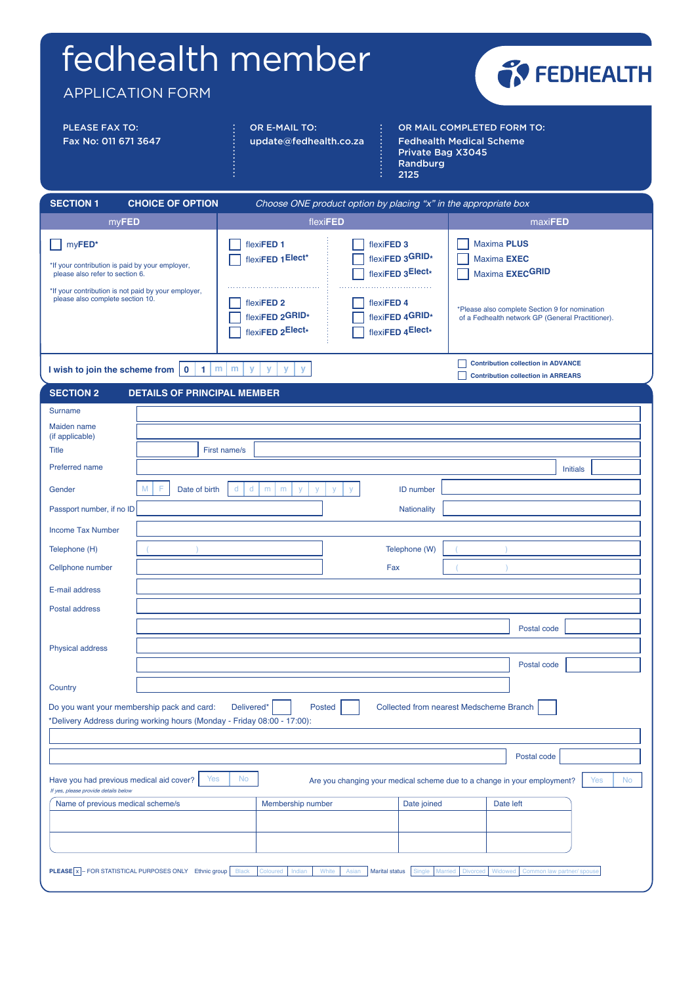# fedhealth member

OR E-MAIL TO:

update@fedhealth.co.za

APPLICATION FORM

PLEASE FAX TO: Fax No: 011 671 3647



OR MAIL COMPLETED FORM TO: Fedhealth Medical Scheme Private Bag X3045 Randburg 2125

| <b>SECTION 1</b><br><b>CHOICE OF OPTION</b>                                                                                                                                             |               |                                                                                                           | Choose ONE product option by placing "x" in the appropriate box                                                   |                                                                                                                                                                    |
|-----------------------------------------------------------------------------------------------------------------------------------------------------------------------------------------|---------------|-----------------------------------------------------------------------------------------------------------|-------------------------------------------------------------------------------------------------------------------|--------------------------------------------------------------------------------------------------------------------------------------------------------------------|
| myFED                                                                                                                                                                                   |               | flexiFED                                                                                                  |                                                                                                                   | maxiFED                                                                                                                                                            |
| myFED*<br>*If your contribution is paid by your employer,<br>please also refer to section 6.<br>*If your contribution is not paid by your employer,<br>please also complete section 10. |               | flexiFED <sub>1</sub><br>flexiFED 1Elect*<br>flexiFED <sub>2</sub><br>flexiFED 2GRID*<br>flexiFED 2Elect* | flexiFED <sub>3</sub><br>flexiFED 3GRID*<br>flexiFED 3Elect*<br>flexiFED 4<br>flexiFED 4GRID*<br>flexiFED 4Elect* | <b>Maxima PLUS</b><br>Maxima <b>EXEC</b><br>Maxima EXECGRID<br>*Please also complete Section 9 for nomination<br>of a Fedhealth network GP (General Practitioner). |
| I wish to join the scheme from                                                                                                                                                          | m<br>$\Omega$ | m<br>v<br>v<br>v<br>$\mathbf{v}$                                                                          |                                                                                                                   | <b>Contribution collection in ADVANCE</b><br><b>Contribution collection in ARREARS</b>                                                                             |
| <b>SECTION 2</b>                                                                                                                                                                        |               | <b>DETAILS OF PRINCIPAL MEMBER</b>                                                                        |                                                                                                                   |                                                                                                                                                                    |
| Surname                                                                                                                                                                                 |               |                                                                                                           |                                                                                                                   |                                                                                                                                                                    |
| Maiden name                                                                                                                                                                             |               |                                                                                                           |                                                                                                                   |                                                                                                                                                                    |

| Maiden name<br>(if applicable)                                                   |                                                                              |                          |                                                                          |                    |                                         |             |                            |
|----------------------------------------------------------------------------------|------------------------------------------------------------------------------|--------------------------|--------------------------------------------------------------------------|--------------------|-----------------------------------------|-------------|----------------------------|
| <b>Title</b>                                                                     | First name/s                                                                 |                          |                                                                          |                    |                                         |             |                            |
| Preferred name                                                                   |                                                                              |                          |                                                                          |                    |                                         |             | <b>Initials</b>            |
| Gender                                                                           | $\mathsf{d}$<br>M<br>F<br>d<br>Date of birth                                 | ${\sf m}$<br>m<br>y<br>y | V<br>y                                                                   | ID number          |                                         |             |                            |
| Passport number, if no ID                                                        |                                                                              |                          |                                                                          | <b>Nationality</b> |                                         |             |                            |
| <b>Income Tax Number</b>                                                         |                                                                              |                          |                                                                          |                    |                                         |             |                            |
| Telephone (H)                                                                    |                                                                              |                          |                                                                          | Telephone (W)      |                                         |             |                            |
| Cellphone number                                                                 |                                                                              |                          | Fax                                                                      |                    |                                         |             |                            |
| E-mail address                                                                   |                                                                              |                          |                                                                          |                    |                                         |             |                            |
| Postal address                                                                   |                                                                              |                          |                                                                          |                    |                                         |             |                            |
|                                                                                  |                                                                              |                          |                                                                          |                    |                                         | Postal code |                            |
| <b>Physical address</b>                                                          |                                                                              |                          |                                                                          |                    |                                         |             |                            |
|                                                                                  |                                                                              |                          |                                                                          |                    |                                         | Postal code |                            |
| Country                                                                          |                                                                              |                          |                                                                          |                    |                                         |             |                            |
| Do you want your membership pack and card:                                       | Delivered*                                                                   | <b>Posted</b>            |                                                                          |                    | Collected from nearest Medscheme Branch |             |                            |
|                                                                                  | *Delivery Address during working hours (Monday - Friday 08:00 - 17:00):      |                          |                                                                          |                    |                                         |             |                            |
|                                                                                  |                                                                              |                          |                                                                          |                    |                                         |             |                            |
|                                                                                  |                                                                              |                          |                                                                          |                    |                                         | Postal code |                            |
| Have you had previous medical aid cover?<br>If yes, please provide details below | Yes<br><b>No</b>                                                             |                          | Are you changing your medical scheme due to a change in your employment? |                    |                                         |             | Yes<br><b>No</b>           |
| Name of previous medical scheme/s                                                |                                                                              | Membership number        |                                                                          | Date joined        |                                         | Date left   |                            |
|                                                                                  |                                                                              |                          |                                                                          |                    |                                         |             |                            |
|                                                                                  |                                                                              |                          |                                                                          |                    |                                         |             |                            |
|                                                                                  |                                                                              |                          |                                                                          |                    |                                         |             |                            |
|                                                                                  | <b>PLEASE</b> x - FOR STATISTICAL PURPOSES ONLY Ethnic group<br><b>Black</b> | Coloured<br>Indian       | White<br>Asian<br><b>Marital status</b>                                  | Single             | Married<br><b>Divorced</b>              | Widowed     | Common law partner/ spouse |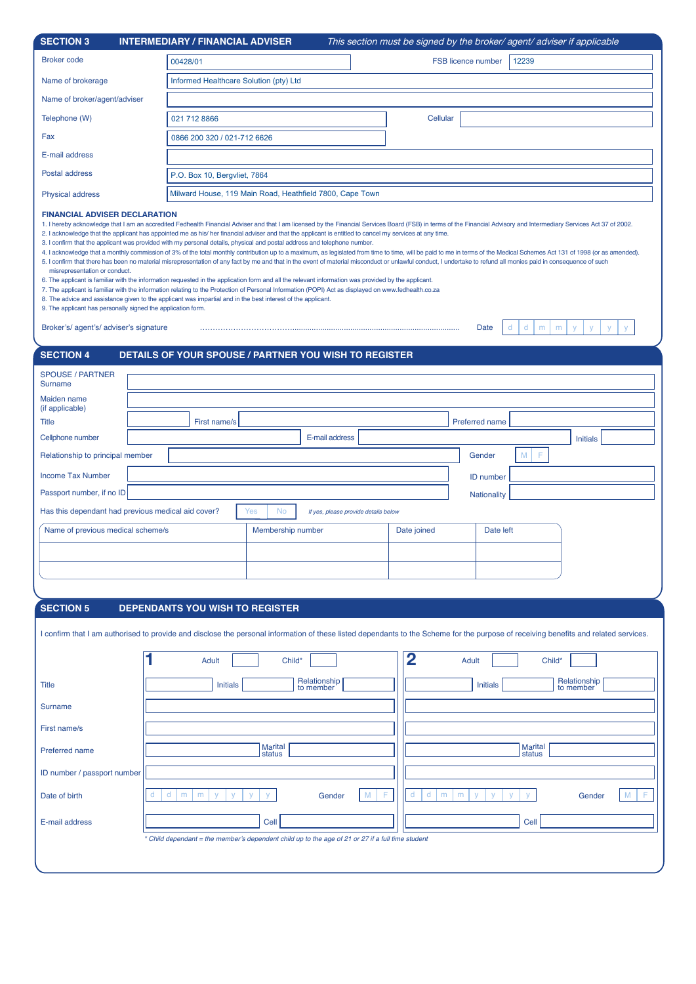| <b>SECTION 3</b>                                                      | <b>INTERMEDIARY / FINANCIAL ADVISER</b>                                                                                                                                                                                                                                                                                                                                                                                                                                                                                                                                                                                                                                                                                                                                                                                                                                                                                                                                                                                                                                                                                                                                                                                                                                                                                                                                                                                                                   |                | This section must be signed by the broker/ agent/ adviser if applicable |                 |
|-----------------------------------------------------------------------|-----------------------------------------------------------------------------------------------------------------------------------------------------------------------------------------------------------------------------------------------------------------------------------------------------------------------------------------------------------------------------------------------------------------------------------------------------------------------------------------------------------------------------------------------------------------------------------------------------------------------------------------------------------------------------------------------------------------------------------------------------------------------------------------------------------------------------------------------------------------------------------------------------------------------------------------------------------------------------------------------------------------------------------------------------------------------------------------------------------------------------------------------------------------------------------------------------------------------------------------------------------------------------------------------------------------------------------------------------------------------------------------------------------------------------------------------------------|----------------|-------------------------------------------------------------------------|-----------------|
| <b>Broker code</b>                                                    | 00428/01                                                                                                                                                                                                                                                                                                                                                                                                                                                                                                                                                                                                                                                                                                                                                                                                                                                                                                                                                                                                                                                                                                                                                                                                                                                                                                                                                                                                                                                  |                | <b>FSB licence number</b><br>12239                                      |                 |
| Name of brokerage                                                     | Informed Healthcare Solution (pty) Ltd                                                                                                                                                                                                                                                                                                                                                                                                                                                                                                                                                                                                                                                                                                                                                                                                                                                                                                                                                                                                                                                                                                                                                                                                                                                                                                                                                                                                                    |                |                                                                         |                 |
| Name of broker/agent/adviser                                          |                                                                                                                                                                                                                                                                                                                                                                                                                                                                                                                                                                                                                                                                                                                                                                                                                                                                                                                                                                                                                                                                                                                                                                                                                                                                                                                                                                                                                                                           |                |                                                                         |                 |
| Telephone (W)                                                         | 021 712 8866                                                                                                                                                                                                                                                                                                                                                                                                                                                                                                                                                                                                                                                                                                                                                                                                                                                                                                                                                                                                                                                                                                                                                                                                                                                                                                                                                                                                                                              |                | Cellular                                                                |                 |
| Fax                                                                   | 0866 200 320 / 021-712 6626                                                                                                                                                                                                                                                                                                                                                                                                                                                                                                                                                                                                                                                                                                                                                                                                                                                                                                                                                                                                                                                                                                                                                                                                                                                                                                                                                                                                                               |                |                                                                         |                 |
| E-mail address                                                        |                                                                                                                                                                                                                                                                                                                                                                                                                                                                                                                                                                                                                                                                                                                                                                                                                                                                                                                                                                                                                                                                                                                                                                                                                                                                                                                                                                                                                                                           |                |                                                                         |                 |
| Postal address                                                        | P.O. Box 10, Bergvliet, 7864                                                                                                                                                                                                                                                                                                                                                                                                                                                                                                                                                                                                                                                                                                                                                                                                                                                                                                                                                                                                                                                                                                                                                                                                                                                                                                                                                                                                                              |                |                                                                         |                 |
| <b>Physical address</b>                                               | Milward House, 119 Main Road, Heathfield 7800, Cape Town                                                                                                                                                                                                                                                                                                                                                                                                                                                                                                                                                                                                                                                                                                                                                                                                                                                                                                                                                                                                                                                                                                                                                                                                                                                                                                                                                                                                  |                |                                                                         |                 |
| misrepresentation or conduct.<br>Broker's/agent's/adviser's signature | 1. I hereby acknowledge that I am an accredited Fedhealth Financial Adviser and that I am licensed by the Financial Services Board (FSB) in terms of the Financial Advisory and Intermediary Services Act 37 of 2002.<br>2. I acknowledge that the applicant has appointed me as his/her financial adviser and that the applicant is entitled to cancel my services at any time.<br>3. I confirm that the applicant was provided with my personal details, physical and postal address and telephone number.<br>4. I acknowledge that a monthly commission of 3% of the total monthly contribution up to a maximum, as legislated from time to time, will be paid to me in terms of the Medical Schemes Act 131 of 1998 (or as amended).<br>5. I confirm that there has been no material misrepresentation of any fact by me and that in the event of material misconduct or unlawful conduct, I undertake to refund all monies paid in consequence of such<br>6. The applicant is familiar with the information requested in the application form and all the relevant information was provided by the applicant.<br>7. The applicant is familiar with the information relating to the Protection of Personal Information (POPI) Act as displayed on www.fedhealth.co.za<br>8. The advice and assistance given to the applicant was impartial and in the best interest of the applicant.<br>9. The applicant has personally signed the application form. |                | d<br>Date<br>d<br>m                                                     | m<br>y<br>y     |
| <b>SECTION 4</b>                                                      | <b>DETAILS OF YOUR SPOUSE / PARTNER YOU WISH TO REGISTER</b>                                                                                                                                                                                                                                                                                                                                                                                                                                                                                                                                                                                                                                                                                                                                                                                                                                                                                                                                                                                                                                                                                                                                                                                                                                                                                                                                                                                              |                |                                                                         |                 |
| <b>SPOUSE / PARTNER</b><br><b>Surname</b>                             |                                                                                                                                                                                                                                                                                                                                                                                                                                                                                                                                                                                                                                                                                                                                                                                                                                                                                                                                                                                                                                                                                                                                                                                                                                                                                                                                                                                                                                                           |                |                                                                         |                 |
| Maiden name<br>(if applicable)                                        |                                                                                                                                                                                                                                                                                                                                                                                                                                                                                                                                                                                                                                                                                                                                                                                                                                                                                                                                                                                                                                                                                                                                                                                                                                                                                                                                                                                                                                                           |                |                                                                         |                 |
| <b>Title</b>                                                          | First name/s                                                                                                                                                                                                                                                                                                                                                                                                                                                                                                                                                                                                                                                                                                                                                                                                                                                                                                                                                                                                                                                                                                                                                                                                                                                                                                                                                                                                                                              |                | <b>Preferred name</b>                                                   |                 |
| Cellphone number                                                      |                                                                                                                                                                                                                                                                                                                                                                                                                                                                                                                                                                                                                                                                                                                                                                                                                                                                                                                                                                                                                                                                                                                                                                                                                                                                                                                                                                                                                                                           | E-mail address |                                                                         | <b>Initials</b> |
| Relationship to principal member                                      |                                                                                                                                                                                                                                                                                                                                                                                                                                                                                                                                                                                                                                                                                                                                                                                                                                                                                                                                                                                                                                                                                                                                                                                                                                                                                                                                                                                                                                                           |                | Gender<br>M                                                             |                 |
| <b>Income Tax Number</b>                                              |                                                                                                                                                                                                                                                                                                                                                                                                                                                                                                                                                                                                                                                                                                                                                                                                                                                                                                                                                                                                                                                                                                                                                                                                                                                                                                                                                                                                                                                           |                | <b>ID</b> number                                                        |                 |
| Passport number, if no ID                                             |                                                                                                                                                                                                                                                                                                                                                                                                                                                                                                                                                                                                                                                                                                                                                                                                                                                                                                                                                                                                                                                                                                                                                                                                                                                                                                                                                                                                                                                           |                | <b>Nationality</b>                                                      |                 |

| Has this dependant had previous medical aid cover? | Yes<br><b>No</b>  | If yes, please provide details below |             |           |
|----------------------------------------------------|-------------------|--------------------------------------|-------------|-----------|
| Name of previous medical scheme/s                  | Membership number |                                      | Date joined | Date left |
|                                                    |                   |                                      |             |           |
|                                                    |                   |                                      |             |           |
|                                                    |                   |                                      |             |           |

#### **SECTION 5 DEPENDANTS YOU WISH TO REGISTER**

I confirm that I am authorised to provide and disclose the personal information of these listed dependants to the Scheme for the purpose of receiving benefits and related services.

|                             | Child*<br>Adult                                                                                   | $\overline{2}$<br>Adult<br>Child*                                                    |
|-----------------------------|---------------------------------------------------------------------------------------------------|--------------------------------------------------------------------------------------|
| <b>Title</b>                | Relationship<br>to member<br>Initials                                                             | Relationship<br>to member<br><b>Initials</b>                                         |
| Surname                     |                                                                                                   |                                                                                      |
| First name/s                |                                                                                                   |                                                                                      |
| Preferred name              | Marital<br>status                                                                                 | <b>Marital</b><br>status                                                             |
| ID number / passport number |                                                                                                   |                                                                                      |
| Date of birth               | F.<br>Gender<br>m<br>m<br>$\mathbf{V}$<br>$\mathbf{V}$<br>$\mathbf{V}$<br>d<br>M                  | Gender<br>m<br>F<br>m<br>M<br>d<br>$\mathcal{M}$<br>$\sqrt{2}$<br>$\mathcal{M}$<br>d |
| E-mail address              | Cell                                                                                              | Cell                                                                                 |
|                             | * Child dependant = the member's dependent child up to the age of 21 or 27 if a full time student |                                                                                      |
|                             |                                                                                                   |                                                                                      |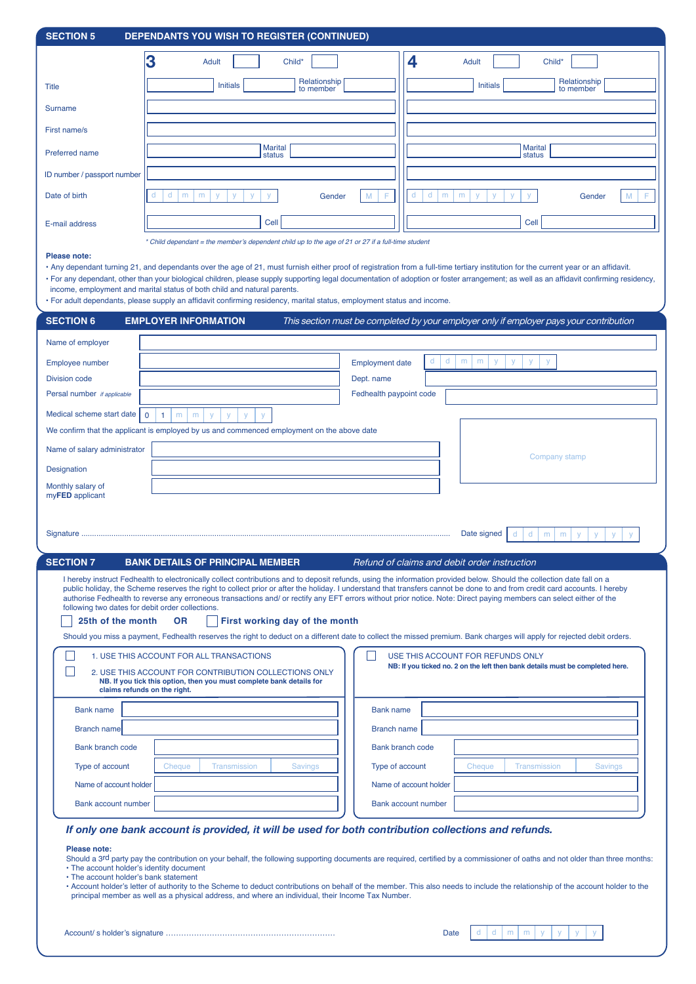| <b>SECTION 5</b>                                                                                      | DEPENDANTS YOU WISH TO REGISTER (CONTINUED)                                                                                                                                                                                                                                                             |                         |                                                                                                                                                                                                                                                                                                                                                                                                                                                                                                                                                                                                                                                                                                                                                                                                                              |
|-------------------------------------------------------------------------------------------------------|---------------------------------------------------------------------------------------------------------------------------------------------------------------------------------------------------------------------------------------------------------------------------------------------------------|-------------------------|------------------------------------------------------------------------------------------------------------------------------------------------------------------------------------------------------------------------------------------------------------------------------------------------------------------------------------------------------------------------------------------------------------------------------------------------------------------------------------------------------------------------------------------------------------------------------------------------------------------------------------------------------------------------------------------------------------------------------------------------------------------------------------------------------------------------------|
|                                                                                                       | 3<br>Child*<br>Adult                                                                                                                                                                                                                                                                                    |                         | 4<br><b>Adult</b><br>Child*                                                                                                                                                                                                                                                                                                                                                                                                                                                                                                                                                                                                                                                                                                                                                                                                  |
| <b>Title</b>                                                                                          | Relationship<br><b>Initials</b>                                                                                                                                                                                                                                                                         |                         | Relationship<br><b>Initials</b>                                                                                                                                                                                                                                                                                                                                                                                                                                                                                                                                                                                                                                                                                                                                                                                              |
| <b>Surname</b>                                                                                        | to member                                                                                                                                                                                                                                                                                               |                         | to member                                                                                                                                                                                                                                                                                                                                                                                                                                                                                                                                                                                                                                                                                                                                                                                                                    |
|                                                                                                       |                                                                                                                                                                                                                                                                                                         |                         |                                                                                                                                                                                                                                                                                                                                                                                                                                                                                                                                                                                                                                                                                                                                                                                                                              |
| First name/s                                                                                          |                                                                                                                                                                                                                                                                                                         |                         |                                                                                                                                                                                                                                                                                                                                                                                                                                                                                                                                                                                                                                                                                                                                                                                                                              |
| <b>Preferred name</b>                                                                                 | <b>Marital</b><br>status                                                                                                                                                                                                                                                                                |                         | <b>Marital</b><br>status                                                                                                                                                                                                                                                                                                                                                                                                                                                                                                                                                                                                                                                                                                                                                                                                     |
| ID number / passport number                                                                           |                                                                                                                                                                                                                                                                                                         |                         |                                                                                                                                                                                                                                                                                                                                                                                                                                                                                                                                                                                                                                                                                                                                                                                                                              |
| Date of birth                                                                                         | d<br>d<br>m<br>m<br>y<br>Gender                                                                                                                                                                                                                                                                         | F<br>M                  | d<br>d<br>m<br>m<br>V<br>У<br>M<br>V<br>Gender                                                                                                                                                                                                                                                                                                                                                                                                                                                                                                                                                                                                                                                                                                                                                                               |
| E-mail address                                                                                        | Cell                                                                                                                                                                                                                                                                                                    |                         | Cell                                                                                                                                                                                                                                                                                                                                                                                                                                                                                                                                                                                                                                                                                                                                                                                                                         |
| Please note:                                                                                          | * Child dependant = the member's dependent child up to the age of 21 or 27 if a full-time student<br>income, employment and marital status of both child and natural parents.<br>· For adult dependants, please supply an affidavit confirming residency, marital status, employment status and income. |                         | · Any dependant turning 21, and dependants over the age of 21, must furnish either proof of registration from a full-time tertiary institution for the current year or an affidavit.<br>· For any dependant, other than your biological children, please supply supporting legal documentation of adoption or foster arrangement; as well as an affidavit confirming residency,                                                                                                                                                                                                                                                                                                                                                                                                                                              |
| <b>SECTION 6</b>                                                                                      | <b>EMPLOYER INFORMATION</b>                                                                                                                                                                                                                                                                             |                         | This section must be completed by your employer only if employer pays your contribution                                                                                                                                                                                                                                                                                                                                                                                                                                                                                                                                                                                                                                                                                                                                      |
| Name of employer                                                                                      |                                                                                                                                                                                                                                                                                                         |                         |                                                                                                                                                                                                                                                                                                                                                                                                                                                                                                                                                                                                                                                                                                                                                                                                                              |
| Employee number                                                                                       |                                                                                                                                                                                                                                                                                                         | <b>Employment date</b>  | d<br>d<br>m<br>m<br>y<br>V<br>y                                                                                                                                                                                                                                                                                                                                                                                                                                                                                                                                                                                                                                                                                                                                                                                              |
| <b>Division code</b>                                                                                  |                                                                                                                                                                                                                                                                                                         | Dept. name              |                                                                                                                                                                                                                                                                                                                                                                                                                                                                                                                                                                                                                                                                                                                                                                                                                              |
| Persal number if applicable                                                                           |                                                                                                                                                                                                                                                                                                         | Fedhealth paypoint code |                                                                                                                                                                                                                                                                                                                                                                                                                                                                                                                                                                                                                                                                                                                                                                                                                              |
| Medical scheme start date<br>$\mathbf 0$                                                              | $\mathbf{1}$<br>m<br>m<br>y<br>y<br>y                                                                                                                                                                                                                                                                   |                         |                                                                                                                                                                                                                                                                                                                                                                                                                                                                                                                                                                                                                                                                                                                                                                                                                              |
|                                                                                                       | We confirm that the applicant is employed by us and commenced employment on the above date                                                                                                                                                                                                              |                         |                                                                                                                                                                                                                                                                                                                                                                                                                                                                                                                                                                                                                                                                                                                                                                                                                              |
| Name of salary administrator                                                                          |                                                                                                                                                                                                                                                                                                         |                         | Company stamp                                                                                                                                                                                                                                                                                                                                                                                                                                                                                                                                                                                                                                                                                                                                                                                                                |
| <b>Designation</b><br>Monthly salary of                                                               |                                                                                                                                                                                                                                                                                                         |                         |                                                                                                                                                                                                                                                                                                                                                                                                                                                                                                                                                                                                                                                                                                                                                                                                                              |
| myFED applicant                                                                                       |                                                                                                                                                                                                                                                                                                         |                         |                                                                                                                                                                                                                                                                                                                                                                                                                                                                                                                                                                                                                                                                                                                                                                                                                              |
|                                                                                                       |                                                                                                                                                                                                                                                                                                         |                         | Date signed<br>d<br>d<br>m<br>m<br>y                                                                                                                                                                                                                                                                                                                                                                                                                                                                                                                                                                                                                                                                                                                                                                                         |
| <b>SECTION 7</b>                                                                                      | <b>BANK DETAILS OF PRINCIPAL MEMBER</b>                                                                                                                                                                                                                                                                 |                         | Refund of claims and debit order instruction                                                                                                                                                                                                                                                                                                                                                                                                                                                                                                                                                                                                                                                                                                                                                                                 |
| following two dates for debit order collections.<br>25th of the month<br>claims refunds on the right. | First working day of the month<br><b>OR</b><br>1. USE THIS ACCOUNT FOR ALL TRANSACTIONS<br>2. USE THIS ACCOUNT FOR CONTRIBUTION COLLECTIONS ONLY<br>NB. If you tick this option, then you must complete bank details for                                                                                |                         | I hereby instruct Fedhealth to electronically collect contributions and to deposit refunds, using the information provided below. Should the collection date fall on a<br>public holiday, the Scheme reserves the right to collect prior or after the holiday. I understand that transfers cannot be done to and from credit card accounts. I hereby<br>authorise Fedhealth to reverse any erroneous transactions and/ or rectify any EFT errors without prior notice. Note: Direct paying members can select either of the<br>Should you miss a payment, Fedhealth reserves the right to deduct on a different date to collect the missed premium. Bank charges will apply for rejected debit orders.<br>USE THIS ACCOUNT FOR REFUNDS ONLY<br>NB: If you ticked no. 2 on the left then bank details must be completed here. |
| <b>Bank name</b>                                                                                      |                                                                                                                                                                                                                                                                                                         | <b>Bank name</b>        |                                                                                                                                                                                                                                                                                                                                                                                                                                                                                                                                                                                                                                                                                                                                                                                                                              |
| <b>Branch name</b>                                                                                    |                                                                                                                                                                                                                                                                                                         | <b>Branch name</b>      |                                                                                                                                                                                                                                                                                                                                                                                                                                                                                                                                                                                                                                                                                                                                                                                                                              |
| <b>Bank branch code</b>                                                                               |                                                                                                                                                                                                                                                                                                         |                         | <b>Bank branch code</b>                                                                                                                                                                                                                                                                                                                                                                                                                                                                                                                                                                                                                                                                                                                                                                                                      |
| Type of account                                                                                       | Cheque<br>Transmission<br><b>Savings</b>                                                                                                                                                                                                                                                                |                         | Type of account<br>Cheque<br><b>Transmission</b><br>Savings                                                                                                                                                                                                                                                                                                                                                                                                                                                                                                                                                                                                                                                                                                                                                                  |
| Name of account holder                                                                                |                                                                                                                                                                                                                                                                                                         |                         | Name of account holder                                                                                                                                                                                                                                                                                                                                                                                                                                                                                                                                                                                                                                                                                                                                                                                                       |
| Bank account number                                                                                   |                                                                                                                                                                                                                                                                                                         |                         | <b>Bank account number</b>                                                                                                                                                                                                                                                                                                                                                                                                                                                                                                                                                                                                                                                                                                                                                                                                   |
| Please note:<br>• The account holder's identity document<br>• The account holder's bank statement     | If only one bank account is provided, it will be used for both contribution collections and refunds.<br>principal member as well as a physical address, and where an individual, their Income Tax Number.                                                                                               |                         | Should a 3rd party pay the contribution on your behalf, the following supporting documents are required, certified by a commissioner of oaths and not older than three months:<br>• Account holder's letter of authority to the Scheme to deduct contributions on behalf of the member. This also needs to include the relationship of the account holder to the                                                                                                                                                                                                                                                                                                                                                                                                                                                             |
|                                                                                                       |                                                                                                                                                                                                                                                                                                         |                         |                                                                                                                                                                                                                                                                                                                                                                                                                                                                                                                                                                                                                                                                                                                                                                                                                              |

| Account/ s holder's signature ………………………………………………………… |  |
|------------------------------------------------------|--|
|------------------------------------------------------|--|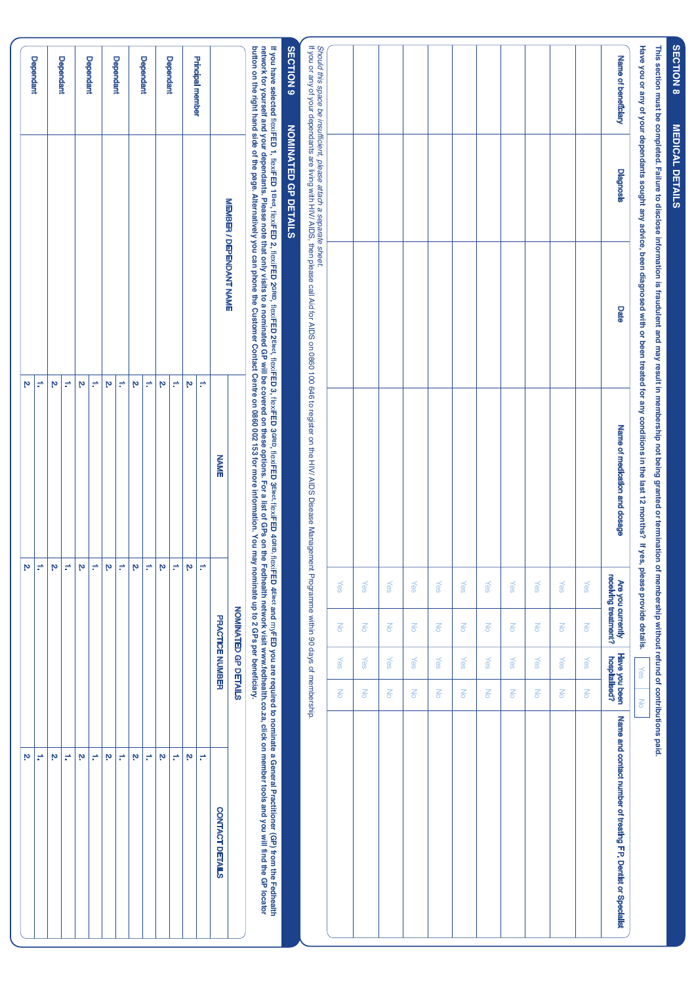| í                       |
|-------------------------|
|                         |
| $\overline{\mathbf{c}}$ |
|                         |
|                         |
|                         |
|                         |
|                         |
|                         |
|                         |
| È                       |
|                         |
|                         |
|                         |
|                         |
| l                       |
| I                       |
|                         |
|                         |
|                         |
| i<br>Film<br>١          |

ഗ

This section must be completed. Failure to disclose information is fraudulent and may result in membership not being granted or termination of membership without refund of contributions paid. **This section must be completed. Failure to disclose information is fraudulent and may result in membership not being granted or termination of membership without refund of contributions paid.**

Have you have a provide details solvided begines to be a proper to be a little of product that 12 moral with the last 12 moral what 22 m and the stripe of the last 12 moral what  $\sim$ **Have you or any of your dependants sought any advice, been diagnosed with or been treated for any conditions in the last 12 months? If yes, please provide details.**

|                     |                                                                    |      | Have you or any or your dependants sought any advice, been diagnosed with or been treated for any conditions in the last 12 inonitis ( $^{\rm n}$ yes,      | prease provide details.                   |                      | Yes                                   | <b>NO</b>            |                                                               |
|---------------------|--------------------------------------------------------------------|------|-------------------------------------------------------------------------------------------------------------------------------------------------------------|-------------------------------------------|----------------------|---------------------------------------|----------------------|---------------------------------------------------------------|
| Name of beneficiary | <b>Diagnosis</b>                                                   | Date | Name of medication and dosage                                                                                                                               | receiving treatment?<br>Are you currently |                      | <b>Have you been</b><br>hospitalised? |                      | Name and contact number of treating FP, Dentist or Specialist |
|                     |                                                                    |      |                                                                                                                                                             | Yes                                       | $\frac{1}{\sqrt{2}}$ | Yes                                   | $\frac{1}{\sqrt{2}}$ |                                                               |
|                     |                                                                    |      |                                                                                                                                                             | Yes                                       | $\frac{1}{2}$        | Yes                                   | $\geq$               |                                                               |
|                     |                                                                    |      |                                                                                                                                                             | Yes                                       | $\frac{1}{\sqrt{2}}$ | Yes                                   | Σō                   |                                                               |
|                     |                                                                    |      |                                                                                                                                                             | Yes                                       | $\frac{1}{\sqrt{2}}$ | Yes                                   | $\frac{1}{\sqrt{2}}$ |                                                               |
|                     |                                                                    |      |                                                                                                                                                             | Yes                                       | $\frac{1}{\sqrt{2}}$ | Yes                                   | Μo                   |                                                               |
|                     |                                                                    |      |                                                                                                                                                             | Yes                                       | $\frac{1}{\sqrt{2}}$ | Yes                                   | $\frac{1}{\sqrt{2}}$ |                                                               |
|                     |                                                                    |      |                                                                                                                                                             | Yes                                       | $\frac{1}{\sqrt{2}}$ | Yes                                   | Μo                   |                                                               |
|                     |                                                                    |      |                                                                                                                                                             | Yes                                       | $\frac{1}{\sqrt{2}}$ | Yes                                   | Μo                   |                                                               |
|                     |                                                                    |      |                                                                                                                                                             | <b>Yes</b>                                | $\geq$               | <b>Yes</b>                            | $\frac{1}{\sqrt{2}}$ |                                                               |
|                     |                                                                    |      |                                                                                                                                                             | Yes                                       | $\frac{1}{\sqrt{2}}$ | Yes                                   | Μo                   |                                                               |
|                     |                                                                    |      |                                                                                                                                                             | Yes                                       | $\frac{1}{\sqrt{2}}$ | Yes                                   | $\leq$               |                                                               |
|                     | Should this space be insufficient, please attach a separate sheet. |      | If you or any of your dependants are living wing wing wind hing, the high sect and the HN/ AIDS Disease Management Programme with in 90 days of membership. |                                           |                      |                                       |                      |                                                               |
| <b>SECTION 9</b>    | <b>NOMINATED GP DETAILS</b>                                        |      |                                                                                                                                                             |                                           |                      |                                       |                      |                                                               |

**If you have selected** flexi**FED 1,** flexi**FED 1Elect,** flexi**FED 2,** flexi**FED 2GRID,** flexi**FED 2Elect,** flexi**FED 3,** flexi**FED 3GRID,** flexi**FED 3Elect,** flexi**FED 4GRID,** flexi**FED 4Elect and** my**FED you are required to nominate a General Practitioner (GP) from the Fedhealth**  network for yourself and your dependants. Please note that only visits to a minited GP on the secontions. For a list of GPs on the Fedhealth network visit www.fedhealth.co.za, click on member tools and you will find the GP **button on the right hand side of the page. Alternatively you can phone the Customer Contact Centre on 0860 002 153 for more information. You may nominate up to 2 GPs per beneficiary.**

| j                       |                                |             |                      |                 |
|-------------------------|--------------------------------|-------------|----------------------|-----------------|
|                         |                                |             | NOMINATED GP DETAILS |                 |
|                         | <b>MEMBER / DEPENDANT NAME</b> | <b>NAME</b> | PRACTICE NUMBER      | CONTACT DETAILS |
|                         |                                | ÷           | ÷                    | ÷               |
| <b>Principal member</b> |                                | Ņ           | M                    | Ņ               |
|                         |                                | ÷           | ÷                    | ÷               |
| <b>Dependant</b>        |                                | Ņ           | Ņ                    | Ņ               |
| <b>Dependant</b>        |                                | ÷           | ÷                    | ÷               |
|                         |                                | Ņ           | Ņ                    | M               |
| <b>Dependant</b>        |                                | ÷           | ÷                    | ÷               |
|                         |                                | Ņ           | Ņ                    | Ņ               |
| <b>Dependant</b>        |                                | ÷           | ÷                    | ÷               |
|                         |                                | Ņ           | Ņ                    | Ņ               |
|                         |                                | ÷           | ÷                    | ÷               |
| <b>Dependant</b>        |                                | Ņ           | Ņ                    | M               |
|                         |                                | ÷           | ÷                    | ÷               |
| <b>Dependant</b>        |                                | Ņ           | Ņ                    | Ņ               |
|                         |                                |             |                      |                 |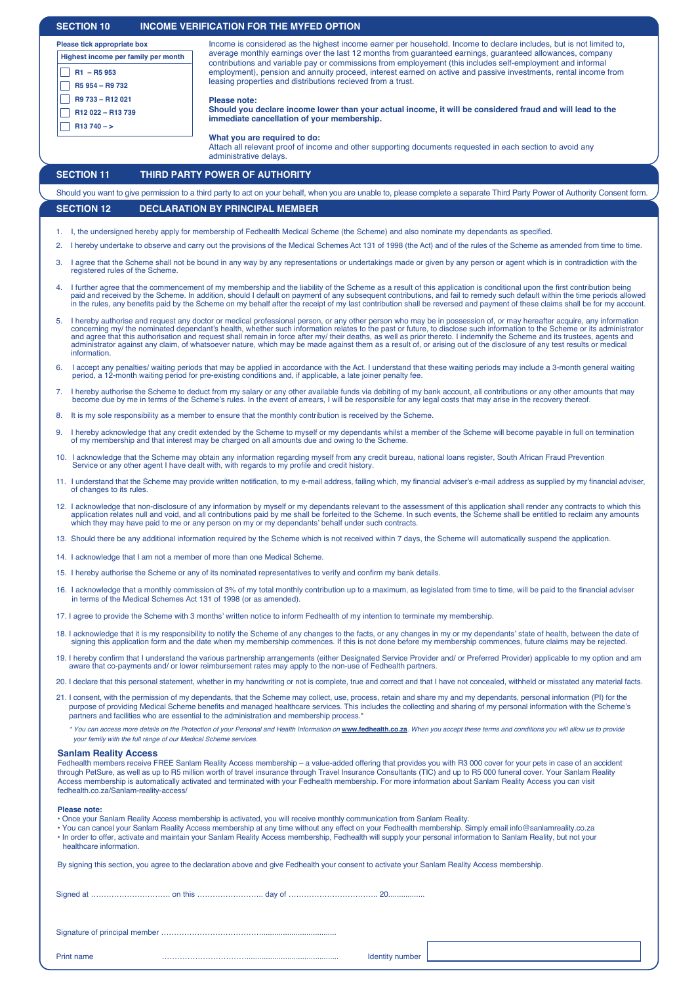| <b>SECTION 10</b>                                                                                                                                                                                                                                                                                                                                                                                                                                                                                                                                                                                                                  | INCOME VERIFICATION FOR THE MYFED OPTION                                                                                                                                                                                                                                                                                                                                                                                                                                                                                                                                                                                                                                                              |  |  |
|------------------------------------------------------------------------------------------------------------------------------------------------------------------------------------------------------------------------------------------------------------------------------------------------------------------------------------------------------------------------------------------------------------------------------------------------------------------------------------------------------------------------------------------------------------------------------------------------------------------------------------|-------------------------------------------------------------------------------------------------------------------------------------------------------------------------------------------------------------------------------------------------------------------------------------------------------------------------------------------------------------------------------------------------------------------------------------------------------------------------------------------------------------------------------------------------------------------------------------------------------------------------------------------------------------------------------------------------------|--|--|
| Please tick appropriate box<br>Highest income per family per month<br>$R1 - R5953$                                                                                                                                                                                                                                                                                                                                                                                                                                                                                                                                                 | Income is considered as the highest income earner per household. Income to declare includes, but is not limited to,<br>average monthly earnings over the last 12 months from guaranteed earnings, guaranteed allowances, company<br>contributions and variable pay or commissions from employement (this includes self-employment and informal<br>employment), pension and annuity proceed, interest earned on active and passive investments, rental income from<br>leasing properties and distributions recieved from a trust.                                                                                                                                                                      |  |  |
| R5 954 - R9 732<br>R9 733 - R12 021<br>R12 022 - R13 739<br>$R13740 - >$                                                                                                                                                                                                                                                                                                                                                                                                                                                                                                                                                           | Please note:<br>Should you declare income lower than your actual income, it will be considered fraud and will lead to the<br>immediate cancellation of your membership.                                                                                                                                                                                                                                                                                                                                                                                                                                                                                                                               |  |  |
|                                                                                                                                                                                                                                                                                                                                                                                                                                                                                                                                                                                                                                    | What you are required to do:<br>Attach all relevant proof of income and other supporting documents requested in each section to avoid any<br>administrative delays.                                                                                                                                                                                                                                                                                                                                                                                                                                                                                                                                   |  |  |
| <b>SECTION 11</b>                                                                                                                                                                                                                                                                                                                                                                                                                                                                                                                                                                                                                  | THIRD PARTY POWER OF AUTHORITY                                                                                                                                                                                                                                                                                                                                                                                                                                                                                                                                                                                                                                                                        |  |  |
|                                                                                                                                                                                                                                                                                                                                                                                                                                                                                                                                                                                                                                    | Should you want to give permission to a third party to act on your behalf, when you are unable to, please complete a separate Third Party Power of Authority Consent form.                                                                                                                                                                                                                                                                                                                                                                                                                                                                                                                            |  |  |
| <b>SECTION 12</b>                                                                                                                                                                                                                                                                                                                                                                                                                                                                                                                                                                                                                  | <b>DECLARATION BY PRINCIPAL MEMBER</b>                                                                                                                                                                                                                                                                                                                                                                                                                                                                                                                                                                                                                                                                |  |  |
| 2.                                                                                                                                                                                                                                                                                                                                                                                                                                                                                                                                                                                                                                 | I, the undersigned hereby apply for membership of Fedhealth Medical Scheme (the Scheme) and also nominate my dependants as specified.<br>I hereby undertake to observe and carry out the provisions of the Medical Schemes Act 131 of 1998 (the Act) and of the rules of the Scheme as amended from time to time.                                                                                                                                                                                                                                                                                                                                                                                     |  |  |
| 3.<br>registered rules of the Scheme.                                                                                                                                                                                                                                                                                                                                                                                                                                                                                                                                                                                              | I agree that the Scheme shall not be bound in any way by any representations or undertakings made or given by any person or agent which is in contradiction with the                                                                                                                                                                                                                                                                                                                                                                                                                                                                                                                                  |  |  |
|                                                                                                                                                                                                                                                                                                                                                                                                                                                                                                                                                                                                                                    | I further agree that the commencement of my membership and the liability of the Scheme as a result of this application is conditional upon the first contribution being<br>paid and received by the Scheme. In addition, should I default on payment of any subsequent contributions, and fail to remedy such default within the time periods allowed<br>in the rules, any benefits paid by the Scheme on my behalf after the receipt of my last contribution shall be reversed and payment of these claims shall be for my account.                                                                                                                                                                  |  |  |
| information.                                                                                                                                                                                                                                                                                                                                                                                                                                                                                                                                                                                                                       | I hereby authorise and request any doctor or medical professional person, or any other person who may be in possession of, or may hereafter acquire, any information<br>concerning my/ the nominated dependant's health, whether such information relates to the past or future, to disclose such information to the Scheme or its administrator<br>and agree that this authorisation and request shall remain in force after my/their deaths, as well as prior thereto. I indemnify the Scheme and its trustees, agents and<br>administrator against any claim, of whatsoever nature, which may be made against them as a result of, or arising out of the disclosure of any test results or medical |  |  |
| 6.                                                                                                                                                                                                                                                                                                                                                                                                                                                                                                                                                                                                                                 | I accept any penalties/ waiting periods that may be applied in accordance with the Act. I understand that these waiting periods may include a 3-month general waiting<br>period, a 12-month waiting period for pre-existing conditions and, if applicable, a late joiner penalty fee.                                                                                                                                                                                                                                                                                                                                                                                                                 |  |  |
|                                                                                                                                                                                                                                                                                                                                                                                                                                                                                                                                                                                                                                    | 7. I hereby authorise the Scheme to deduct from my salary or any other available funds via debiting of my bank account, all contributions or any other amounts that may<br>become due by me in terms of the Scheme's rules. In the event of arrears, I will be responsible for any legal costs that may arise in the recovery thereof.                                                                                                                                                                                                                                                                                                                                                                |  |  |
| 8.                                                                                                                                                                                                                                                                                                                                                                                                                                                                                                                                                                                                                                 | It is my sole responsibility as a member to ensure that the monthly contribution is received by the Scheme.                                                                                                                                                                                                                                                                                                                                                                                                                                                                                                                                                                                           |  |  |
| I hereby acknowledge that any credit extended by the Scheme to myself or my dependants whilst a member of the Scheme will become payable in full on termination<br>9.<br>of my membership and that interest may be charged on all amounts due and owing to the Scheme.                                                                                                                                                                                                                                                                                                                                                             |                                                                                                                                                                                                                                                                                                                                                                                                                                                                                                                                                                                                                                                                                                       |  |  |
|                                                                                                                                                                                                                                                                                                                                                                                                                                                                                                                                                                                                                                    | 10. I acknowledge that the Scheme may obtain any information regarding myself from any credit bureau, national loans register, South African Fraud Prevention<br>Service or any other agent I have dealt with, with regards to my profile and credit history.                                                                                                                                                                                                                                                                                                                                                                                                                                         |  |  |
| 11. I understand that the Scheme may provide written notification, to my e-mail address, failing which, my financial adviser's e-mail address as supplied by my financial adviser,<br>of changes to its rules.                                                                                                                                                                                                                                                                                                                                                                                                                     |                                                                                                                                                                                                                                                                                                                                                                                                                                                                                                                                                                                                                                                                                                       |  |  |
|                                                                                                                                                                                                                                                                                                                                                                                                                                                                                                                                                                                                                                    | 12. I acknowledge that non-disclosure of any information by myself or my dependants relevant to the assessment of this application shall render any contracts to which this<br>application relates null and void, and all contributions paid by me shall be forfeited to the Scheme. In such events, the Scheme shall be entitled to reclaim any amounts<br>which they may have paid to me or any person on my or my dependants' behalf under such contracts.                                                                                                                                                                                                                                         |  |  |
|                                                                                                                                                                                                                                                                                                                                                                                                                                                                                                                                                                                                                                    | 13. Should there be any additional information required by the Scheme which is not received within 7 days, the Scheme will automatically suspend the application.                                                                                                                                                                                                                                                                                                                                                                                                                                                                                                                                     |  |  |
| 14. I acknowledge that I am not a member of more than one Medical Scheme.                                                                                                                                                                                                                                                                                                                                                                                                                                                                                                                                                          |                                                                                                                                                                                                                                                                                                                                                                                                                                                                                                                                                                                                                                                                                                       |  |  |
|                                                                                                                                                                                                                                                                                                                                                                                                                                                                                                                                                                                                                                    | 15. I hereby authorise the Scheme or any of its nominated representatives to verify and confirm my bank details.                                                                                                                                                                                                                                                                                                                                                                                                                                                                                                                                                                                      |  |  |
|                                                                                                                                                                                                                                                                                                                                                                                                                                                                                                                                                                                                                                    | 16. I acknowledge that a monthly commission of 3% of my total monthly contribution up to a maximum, as legislated from time to time, will be paid to the financial adviser<br>in terms of the Medical Schemes Act 131 of 1998 (or as amended).                                                                                                                                                                                                                                                                                                                                                                                                                                                        |  |  |
|                                                                                                                                                                                                                                                                                                                                                                                                                                                                                                                                                                                                                                    | 17. I agree to provide the Scheme with 3 months' written notice to inform Fedhealth of my intention to terminate my membership.                                                                                                                                                                                                                                                                                                                                                                                                                                                                                                                                                                       |  |  |
| 18. I acknowledge that it is my responsibility to notify the Scheme of any changes to the facts, or any changes in my or my dependants' state of health, between the date of<br>signing this application form and the date when my membership commences. If this is not done before my membership commences, future claims may be rejected.<br>19. I hereby confirm that I understand the various partnership arrangements (either Designated Service Provider and/ or Preferred Provider) applicable to my option and am                                                                                                          |                                                                                                                                                                                                                                                                                                                                                                                                                                                                                                                                                                                                                                                                                                       |  |  |
|                                                                                                                                                                                                                                                                                                                                                                                                                                                                                                                                                                                                                                    | aware that co-payments and/ or lower reimbursement rates may apply to the non-use of Fedhealth partners.                                                                                                                                                                                                                                                                                                                                                                                                                                                                                                                                                                                              |  |  |
| 20. I declare that this personal statement, whether in my handwriting or not is complete, true and correct and that I have not concealed, withheld or misstated any material facts.<br>21. I consent, with the permission of my dependants, that the Scheme may collect, use, process, retain and share my and my dependants, personal information (PI) for the<br>purpose of providing Medical Scheme benefits and managed healthcare services. This includes the collecting and sharing of my personal information with the Scheme's<br>partners and facilities who are essential to the administration and membership process.* |                                                                                                                                                                                                                                                                                                                                                                                                                                                                                                                                                                                                                                                                                                       |  |  |
| your family with the full range of our Medical Scheme services.                                                                                                                                                                                                                                                                                                                                                                                                                                                                                                                                                                    | * You can access more details on the Protection of your Personal and Health Information on www.fedhealth.co.za. When you accept these terms and conditions you will allow us to provide                                                                                                                                                                                                                                                                                                                                                                                                                                                                                                               |  |  |
| <b>Sanlam Reality Access</b><br>fedhealth.co.za/Sanlam-reality-access/                                                                                                                                                                                                                                                                                                                                                                                                                                                                                                                                                             | Fedhealth members receive FREE Sanlam Reality Access membership – a value-added offering that provides you with R3 000 cover for your pets in case of an accident<br>through PetSure, as well as up to R5 million worth of travel insurance through Travel Insurance Consultants (TIC) and up to R5 000 funeral cover. Your Sanlam Reality<br>Access membership is automatically activated and terminated with your Fedhealth membership. For more information about Sanlam Reality Access you can visit                                                                                                                                                                                              |  |  |
| Please note:<br>healthcare information.                                                                                                                                                                                                                                                                                                                                                                                                                                                                                                                                                                                            | . Once your Sanlam Reality Access membership is activated, you will receive monthly communication from Sanlam Reality.<br>· You can cancel your Sanlam Reality Access membership at any time without any effect on your Fedhealth membership. Simply email info@sanlamreality.co.za<br>. In order to offer, activate and maintain your Sanlam Reality Access membership, Fedhealth will supply your personal information to Sanlam Reality, but not your                                                                                                                                                                                                                                              |  |  |
|                                                                                                                                                                                                                                                                                                                                                                                                                                                                                                                                                                                                                                    | By signing this section, you agree to the declaration above and give Fedhealth your consent to activate your Sanlam Reality Access membership.                                                                                                                                                                                                                                                                                                                                                                                                                                                                                                                                                        |  |  |
|                                                                                                                                                                                                                                                                                                                                                                                                                                                                                                                                                                                                                                    |                                                                                                                                                                                                                                                                                                                                                                                                                                                                                                                                                                                                                                                                                                       |  |  |
|                                                                                                                                                                                                                                                                                                                                                                                                                                                                                                                                                                                                                                    |                                                                                                                                                                                                                                                                                                                                                                                                                                                                                                                                                                                                                                                                                                       |  |  |
| Print name                                                                                                                                                                                                                                                                                                                                                                                                                                                                                                                                                                                                                         | <b>Identity number</b>                                                                                                                                                                                                                                                                                                                                                                                                                                                                                                                                                                                                                                                                                |  |  |